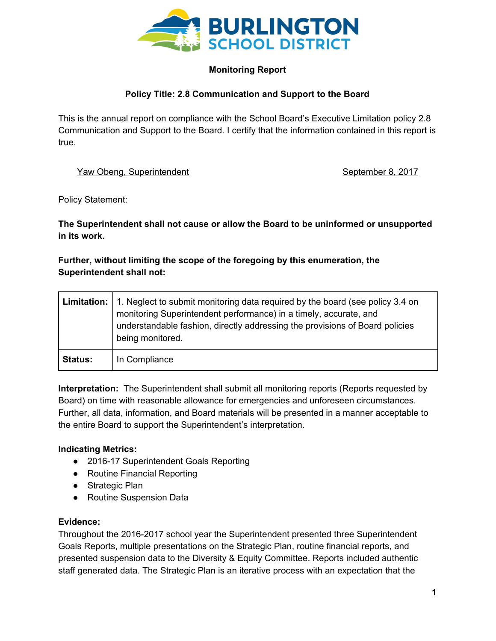

# **Monitoring Report**

## **Policy Title: 2.8 Communication and Support to the Board**

This is the annual report on compliance with the School Board's Executive Limitation policy 2.8 Communication and Support to the Board. I certify that the information contained in this report is true.

### Yaw Obeng, Superintendent September 8, 2017

Policy Statement:

**The Superintendent shall not cause or allow the Board to be uninformed or unsupported in its work.**

## **Further, without limiting the scope of the foregoing by this enumeration, the Superintendent shall not:**

|                | <b>Limitation:</b> 1. Neglect to submit monitoring data required by the board (see policy 3.4 on<br>monitoring Superintendent performance) in a timely, accurate, and<br>understandable fashion, directly addressing the provisions of Board policies<br>being monitored. |
|----------------|---------------------------------------------------------------------------------------------------------------------------------------------------------------------------------------------------------------------------------------------------------------------------|
| <b>Status:</b> | In Compliance                                                                                                                                                                                                                                                             |

**Interpretation:** The Superintendent shall submit all monitoring reports (Reports requested by Board) on time with reasonable allowance for emergencies and unforeseen circumstances. Further, all data, information, and Board materials will be presented in a manner acceptable to the entire Board to support the Superintendent's interpretation.

## **Indicating Metrics:**

- 2016-17 Superintendent Goals Reporting
- Routine Financial Reporting
- Strategic Plan
- Routine Suspension Data

#### **Evidence:**

Throughout the 2016-2017 school year the Superintendent presented three Superintendent Goals Reports, multiple presentations on the Strategic Plan, routine financial reports, and presented suspension data to the Diversity & Equity Committee. Reports included authentic staff generated data. The Strategic Plan is an iterative process with an expectation that the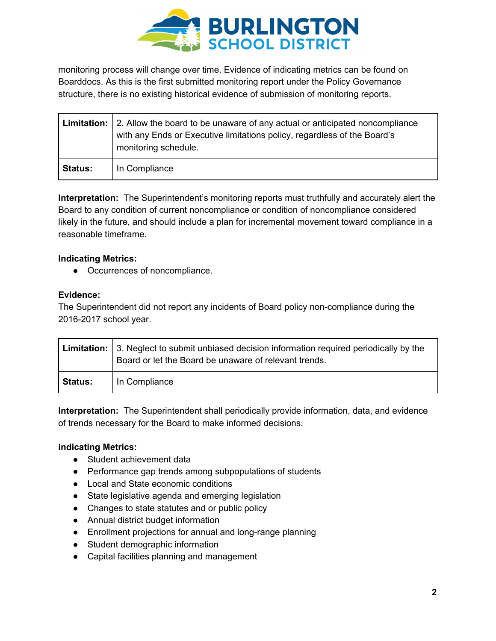

monitoring process will change over time. Evidence of indicating metrics can be found on Boarddocs. As this is the first submitted monitoring report under the Policy Governance structure, there is no existing historical evidence of submission of monitoring reports.

|                | Limitation: 2. Allow the board to be unaware of any actual or anticipated noncompliance<br>with any Ends or Executive limitations policy, regardless of the Board's<br>monitoring schedule. |
|----------------|---------------------------------------------------------------------------------------------------------------------------------------------------------------------------------------------|
| <b>Status:</b> | In Compliance                                                                                                                                                                               |

**Interpretation:** The Superintendent's monitoring reports must truthfully and accurately alert the Board to any condition of current noncompliance or condition of noncompliance considered likely in the future, and should include a plan for incremental movement toward compliance in a reasonable timeframe.

### **Indicating Metrics:**

● Occurrences of noncompliance.

#### **Evidence:**

The Superintendent did not report any incidents of Board policy non-compliance during the 2016-2017 school year.

|                | <b>Limitation:</b> 3. Neglect to submit unbiased decision information required periodically by the<br>Board or let the Board be unaware of relevant trends. |
|----------------|-------------------------------------------------------------------------------------------------------------------------------------------------------------|
| <b>Status:</b> | In Compliance                                                                                                                                               |

**Interpretation:** The Superintendent shall periodically provide information, data, and evidence of trends necessary for the Board to make informed decisions.

#### **Indicating Metrics:**

- Student achievement data
- Performance gap trends among subpopulations of students
- Local and State economic conditions
- State legislative agenda and emerging legislation
- Changes to state statutes and or public policy
- Annual district budget information
- Enrollment projections for annual and long-range planning
- Student demographic information
- Capital facilities planning and management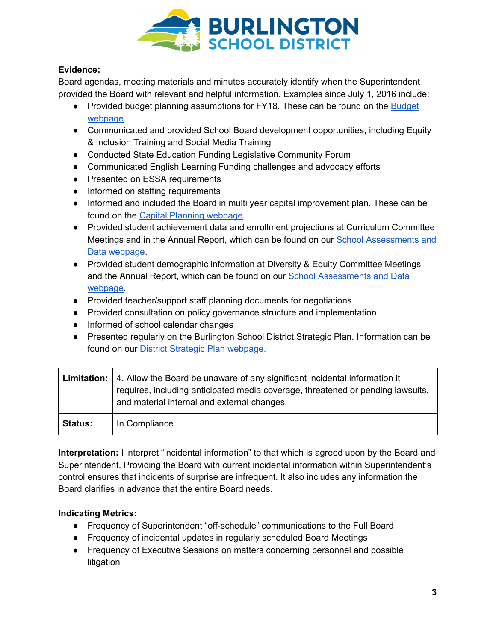

## **Evidence:**

Board agendas, meeting materials and minutes accurately identify when the Superintendent provided the Board with relevant and helpful information. Examples since July 1, 2016 include:

- Provided budget planning assumptions for FY18. These can be found on the **[Budget](http://www.bsdvt.org/district/budget/)** [webpage.](http://www.bsdvt.org/district/budget/)
- Communicated and provided School Board development opportunities, including Equity & Inclusion Training and Social Media Training
- Conducted State Education Funding Legislative Community Forum
- Communicated English Learning Funding challenges and advocacy efforts
- Presented on ESSA requirements
- Informed on staffing requirements
- Informed and included the Board in multi year capital improvement plan. These can be found on the Capital Planning [webpage.](http://www.bsdvt.org/district/budget/capital-planning/)
- Provided student achievement data and enrollment projections at Curriculum Committee Meetings and in the Annual Report, which can be found on our School [Assessments](http://www.bsdvt.org/district/superintendant/school-assessments-data/) and Data [webpage.](http://www.bsdvt.org/district/superintendant/school-assessments-data/)
- Provided student demographic information at Diversity & Equity Committee Meetings and the Annual Report, which can be found on our **School [Assessments](http://www.bsdvt.org/district/superintendant/school-assessments-data/) and Data** [webpage.](http://www.bsdvt.org/district/superintendant/school-assessments-data/)
- Provided teacher/support staff planning documents for negotiations
- Provided consultation on policy governance structure and implementation
- Informed of school calendar changes
- Presented regularly on the Burlington School District Strategic Plan. Information can be found on our District Strategic Plan [webpage.](http://www.bsdvt.org/district/strategic-plan/)

|                | <b>Limitation:</b>   4. Allow the Board be unaware of any significant incidental information it<br>requires, including anticipated media coverage, threatened or pending lawsuits,<br>and material internal and external changes. |
|----------------|-----------------------------------------------------------------------------------------------------------------------------------------------------------------------------------------------------------------------------------|
| <b>Status:</b> | In Compliance                                                                                                                                                                                                                     |

**Interpretation:** I interpret "incidental information" to that which is agreed upon by the Board and Superintendent. Providing the Board with current incidental information within Superintendent's control ensures that incidents of surprise are infrequent. It also includes any information the Board clarifies in advance that the entire Board needs.

## **Indicating Metrics:**

- Frequency of Superintendent "off-schedule" communications to the Full Board
- Frequency of incidental updates in regularly scheduled Board Meetings
- Frequency of Executive Sessions on matters concerning personnel and possible litigation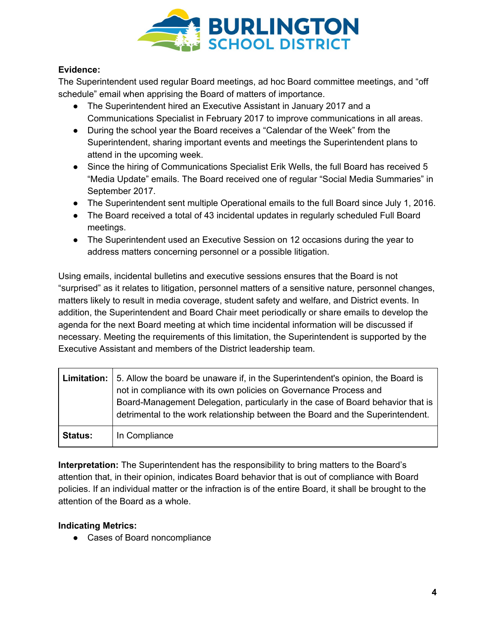

## **Evidence:**

The Superintendent used regular Board meetings, ad hoc Board committee meetings, and "off schedule" email when apprising the Board of matters of importance.

- The Superintendent hired an Executive Assistant in January 2017 and a Communications Specialist in February 2017 to improve communications in all areas.
- During the school year the Board receives a "Calendar of the Week" from the Superintendent, sharing important events and meetings the Superintendent plans to attend in the upcoming week.
- Since the hiring of Communications Specialist Erik Wells, the full Board has received 5 "Media Update" emails. The Board received one of regular "Social Media Summaries" in September 2017.
- The Superintendent sent multiple Operational emails to the full Board since July 1, 2016.
- The Board received a total of 43 incidental updates in regularly scheduled Full Board meetings.
- The Superintendent used an Executive Session on 12 occasions during the year to address matters concerning personnel or a possible litigation.

Using emails, incidental bulletins and executive sessions ensures that the Board is not "surprised" as it relates to litigation, personnel matters of a sensitive nature, personnel changes, matters likely to result in media coverage, student safety and welfare, and District events. In addition, the Superintendent and Board Chair meet periodically or share emails to develop the agenda for the next Board meeting at which time incidental information will be discussed if necessary. Meeting the requirements of this limitation, the Superintendent is supported by the Executive Assistant and members of the District leadership team.

|                | <b>Limitation:</b> 5. Allow the board be unaware if, in the Superintendent's opinion, the Board is<br>not in compliance with its own policies on Governance Process and<br>Board-Management Delegation, particularly in the case of Board behavior that is<br>detrimental to the work relationship between the Board and the Superintendent. |
|----------------|----------------------------------------------------------------------------------------------------------------------------------------------------------------------------------------------------------------------------------------------------------------------------------------------------------------------------------------------|
| <b>Status:</b> | In Compliance                                                                                                                                                                                                                                                                                                                                |

**Interpretation:** The Superintendent has the responsibility to bring matters to the Board's attention that, in their opinion, indicates Board behavior that is out of compliance with Board policies. If an individual matter or the infraction is of the entire Board, it shall be brought to the attention of the Board as a whole.

## **Indicating Metrics:**

● Cases of Board noncompliance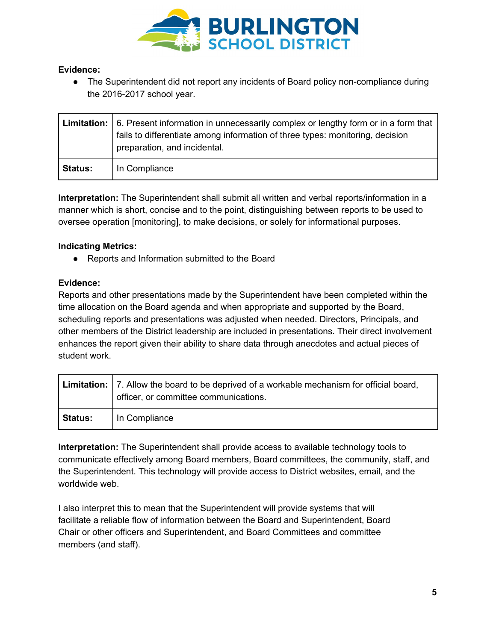

### **Evidence:**

• The Superintendent did not report any incidents of Board policy non-compliance during the 2016-2017 school year.

|                | <b>Limitation:</b> $\vert$ 6. Present information in unnecessarily complex or lengthy form or in a form that<br>fails to differentiate among information of three types: monitoring, decision<br>preparation, and incidental. |
|----------------|-------------------------------------------------------------------------------------------------------------------------------------------------------------------------------------------------------------------------------|
| <b>Status:</b> | In Compliance                                                                                                                                                                                                                 |

**Interpretation:** The Superintendent shall submit all written and verbal reports/information in a manner which is short, concise and to the point, distinguishing between reports to be used to oversee operation [monitoring], to make decisions, or solely for informational purposes.

### **Indicating Metrics:**

● Reports and Information submitted to the Board

### **Evidence:**

Reports and other presentations made by the Superintendent have been completed within the time allocation on the Board agenda and when appropriate and supported by the Board, scheduling reports and presentations was adjusted when needed. Directors, Principals, and other members of the District leadership are included in presentations. Their direct involvement enhances the report given their ability to share data through anecdotes and actual pieces of student work.

|                | Limitation:   7. Allow the board to be deprived of a workable mechanism for official board,<br>officer, or committee communications. |
|----------------|--------------------------------------------------------------------------------------------------------------------------------------|
| <b>Status:</b> | In Compliance                                                                                                                        |

**Interpretation:** The Superintendent shall provide access to available technology tools to communicate effectively among Board members, Board committees, the community, staff, and the Superintendent. This technology will provide access to District websites, email, and the worldwide web.

I also interpret this to mean that the Superintendent will provide systems that will facilitate a reliable flow of information between the Board and Superintendent, Board Chair or other officers and Superintendent, and Board Committees and committee members (and staff).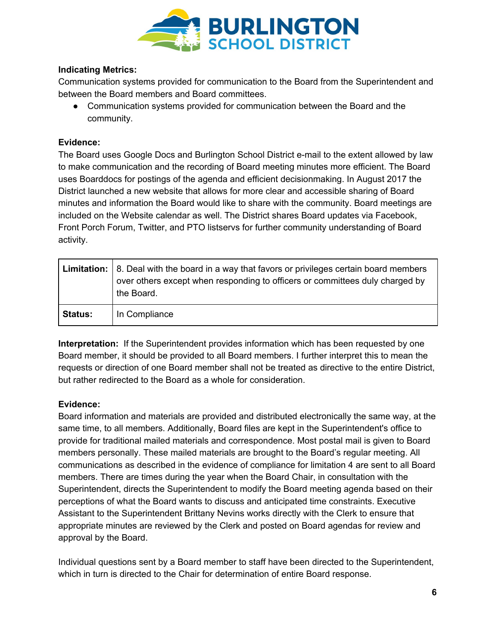

### **Indicating Metrics:**

Communication systems provided for communication to the Board from the Superintendent and between the Board members and Board committees.

• Communication systems provided for communication between the Board and the community.

#### **Evidence:**

The Board uses Google Docs and Burlington School District e-mail to the extent allowed by law to make communication and the recording of Board meeting minutes more efficient. The Board uses Boarddocs for postings of the agenda and efficient decisionmaking. In August 2017 the District launched a new website that allows for more clear and accessible sharing of Board minutes and information the Board would like to share with the community. Board meetings are included on the Website calendar as well. The District shares Board updates via Facebook, Front Porch Forum, Twitter, and PTO listservs for further community understanding of Board activity.

|                | <b>Limitation:</b> $\vert$ 8. Deal with the board in a way that favors or privileges certain board members<br>over others except when responding to officers or committees duly charged by<br>the Board. |
|----------------|----------------------------------------------------------------------------------------------------------------------------------------------------------------------------------------------------------|
| <b>Status:</b> | In Compliance                                                                                                                                                                                            |

**Interpretation:** If the Superintendent provides information which has been requested by one Board member, it should be provided to all Board members. I further interpret this to mean the requests or direction of one Board member shall not be treated as directive to the entire District, but rather redirected to the Board as a whole for consideration.

#### **Evidence:**

Board information and materials are provided and distributed electronically the same way, at the same time, to all members. Additionally, Board files are kept in the Superintendent's office to provide for traditional mailed materials and correspondence. Most postal mail is given to Board members personally. These mailed materials are brought to the Board's regular meeting. All communications as described in the evidence of compliance for limitation 4 are sent to all Board members. There are times during the year when the Board Chair, in consultation with the Superintendent, directs the Superintendent to modify the Board meeting agenda based on their perceptions of what the Board wants to discuss and anticipated time constraints. Executive Assistant to the Superintendent Brittany Nevins works directly with the Clerk to ensure that appropriate minutes are reviewed by the Clerk and posted on Board agendas for review and approval by the Board.

Individual questions sent by a Board member to staff have been directed to the Superintendent, which in turn is directed to the Chair for determination of entire Board response.